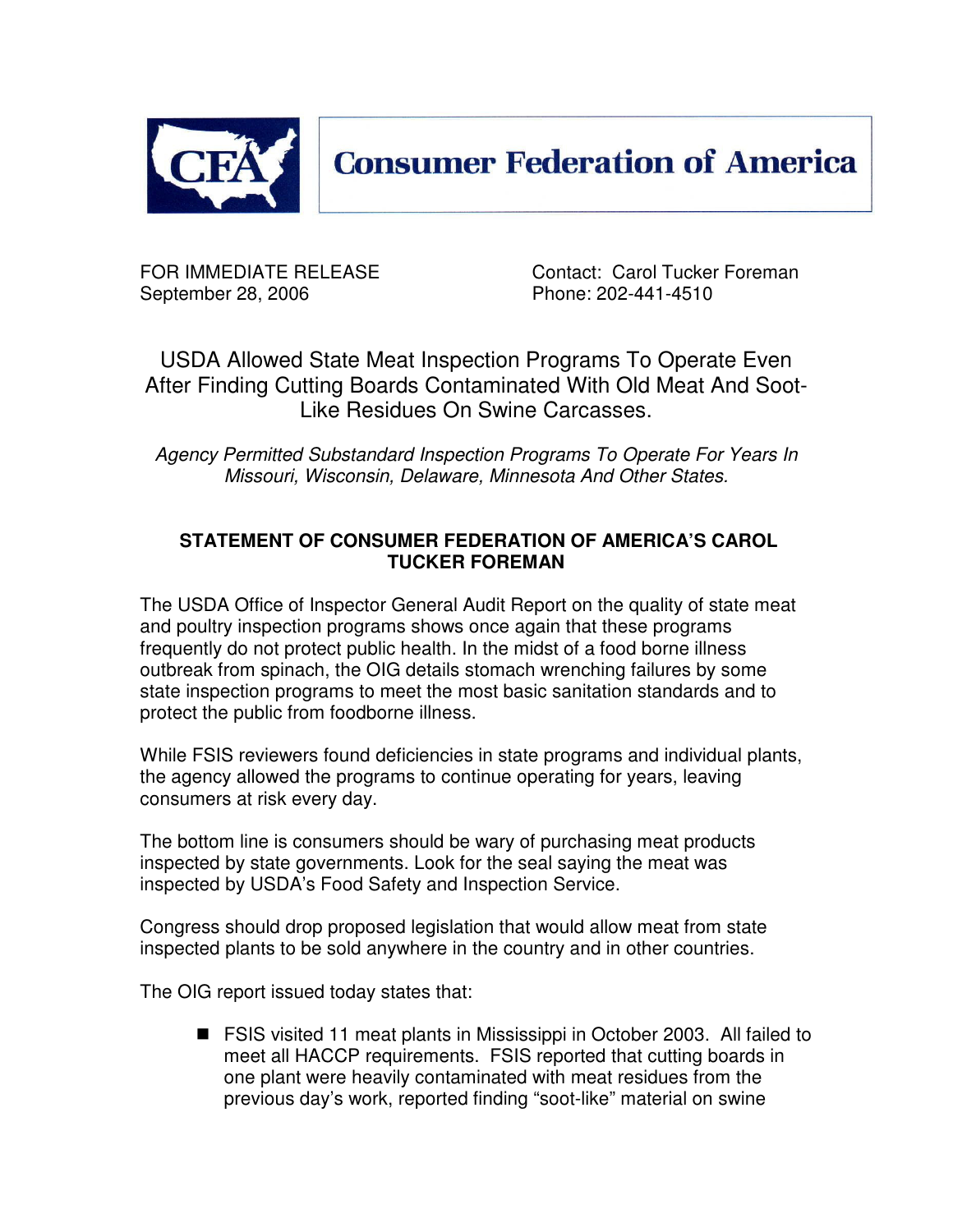

**Consumer Federation of America** 

September 28, 2006 **Phone: 202-441-4510** 

FOR IMMEDIATE RELEASE Contact: Carol Tucker Foreman

USDA Allowed State Meat Inspection Programs To Operate Even After Finding Cutting Boards Contaminated With Old Meat And Soot-Like Residues On Swine Carcasses.

*Agency Permitted Substandard Inspection Programs To Operate For Years In Missouri, Wisconsin, Delaware, Minnesota And Other States.*

## **STATEMENT OF CONSUMER FEDERATION OF AMERICA'S CAROL TUCKER FOREMAN**

The USDA Office of Inspector General Audit Report on the quality of state meat and poultry inspection programs shows once again that these programs frequently do not protect public health. In the midst of a food borne illness outbreak from spinach, the OIG details stomach wrenching failures by some state inspection programs to meet the most basic sanitation standards and to protect the public from foodborne illness.

While FSIS reviewers found deficiencies in state programs and individual plants, the agency allowed the programs to continue operating for years, leaving consumers at risk every day.

The bottom line is consumers should be wary of purchasing meat products inspected by state governments. Look for the seal saying the meat was inspected by USDA's Food Safety and Inspection Service.

Congress should drop proposed legislation that would allow meat from state inspected plants to be sold anywhere in the country and in other countries.

The OIG report issued today states that:

■ FSIS visited 11 meat plants in Mississippi in October 2003. All failed to meet all HACCP requirements. FSIS reported that cutting boards in one plant were heavily contaminated with meat residues from the previous day's work, reported finding "soot-like" material on swine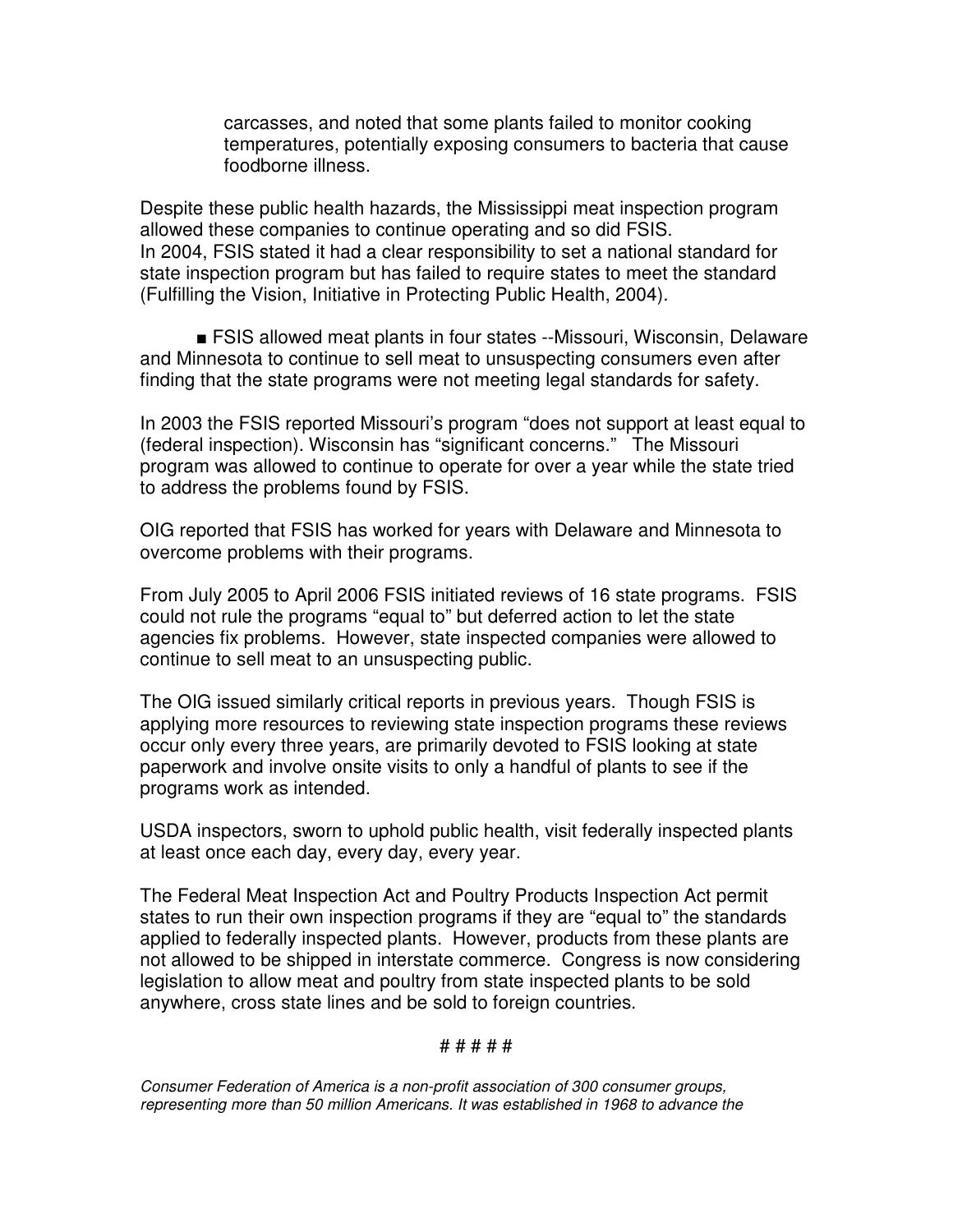carcasses, and noted that some plants failed to monitor cooking temperatures, potentially exposing consumers to bacteria that cause foodborne illness.

Despite these public health hazards, the Mississippi meat inspection program allowed these companies to continue operating and so did FSIS. In 2004, FSIS stated it had a clear responsibility to set a national standard for state inspection program but has failed to require states to meet the standard (Fulfilling the Vision, Initiative in Protecting Public Health, 2004).

 FSIS allowed meat plants in four states --Missouri, Wisconsin, Delaware and Minnesota to continue to sell meat to unsuspecting consumers even after finding that the state programs were not meeting legal standards for safety.

In 2003 the FSIS reported Missouri's program "does not support at least equal to (federal inspection). Wisconsin has "significant concerns." The Missouri program was allowed to continue to operate for over a year while the state tried to address the problems found by FSIS.

OIG reported that FSIS has worked for years with Delaware and Minnesota to overcome problems with their programs.

From July 2005 to April 2006 FSIS initiated reviews of 16 state programs. FSIS could not rule the programs "equal to" but deferred action to let the state agencies fix problems. However, state inspected companies were allowed to continue to sell meat to an unsuspecting public.

The OIG issued similarly critical reports in previous years. Though FSIS is applying more resources to reviewing state inspection programs these reviews occur only every three years, are primarily devoted to FSIS looking at state paperwork and involve onsite visits to only a handful of plants to see if the programs work as intended.

USDA inspectors, sworn to uphold public health, visit federally inspected plants at least once each day, every day, every year.

The Federal Meat Inspection Act and Poultry Products Inspection Act permit states to run their own inspection programs if they are "equal to" the standards applied to federally inspected plants. However, products from these plants are not allowed to be shipped in interstate commerce. Congress is now considering legislation to allow meat and poultry from state inspected plants to be sold anywhere, cross state lines and be sold to foreign countries.

## # # # # #

*Consumer Federation of America is a non-profit association of 300 consumer groups, representing more than 50 million Americans. It was established in 1968 to advance the*